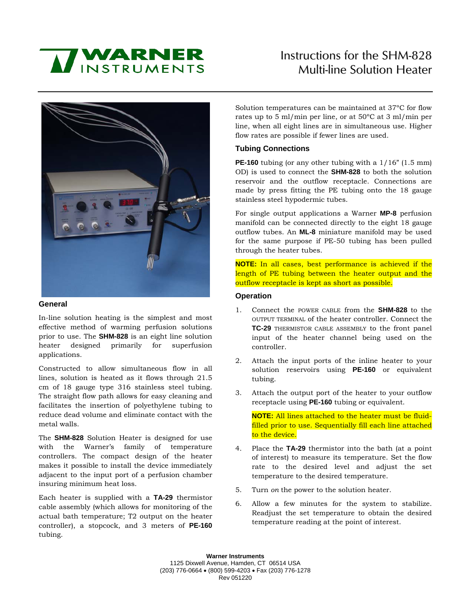# **MINSTRUMENTS**

# Instructions for the SHM-828 Multi-line Solution Heater



#### **General**

In-line solution heating is the simplest and most effective method of warming perfusion solutions prior to use. The **SHM-828** is an eight line solution heater designed primarily for superfusion applications.

Constructed to allow simultaneous flow in all lines, solution is heated as it flows through 21.5 cm of 18 gauge type 316 stainless steel tubing. The straight flow path allows for easy cleaning and facilitates the insertion of polyethylene tubing to reduce dead volume and eliminate contact with the metal walls.

The **SHM-828** Solution Heater is designed for use with the Warner's family of temperature controllers. The compact design of the heater makes it possible to install the device immediately adjacent to the input port of a perfusion chamber insuring minimum heat loss.

Each heater is supplied with a **TA-29** thermistor cable assembly (which allows for monitoring of the actual bath temperature; T2 output on the heater controller), a stopcock, and 3 meters of **PE-160** tubing.

Solution temperatures can be maintained at 37ºC for flow rates up to 5 ml/min per line, or at 50ºC at 3 ml/min per line, when all eight lines are in simultaneous use. Higher flow rates are possible if fewer lines are used.

## **Tubing Connections**

**PE-160** tubing (or any other tubing with a  $1/16$ " (1.5 mm) OD) is used to connect the **SHM-828** to both the solution reservoir and the outflow receptacle. Connections are made by press fitting the PE tubing onto the 18 gauge stainless steel hypodermic tubes.

For single output applications a Warner **MP-8** perfusion manifold can be connected directly to the eight 18 gauge outflow tubes. An **ML-8** miniature manifold may be used for the same purpose if PE-50 tubing has been pulled through the heater tubes.

**NOTE:** In all cases, best performance is achieved if the length of PE tubing between the heater output and the outflow receptacle is kept as short as possible.

### **Operation**

- 1. Connect the POWER CABLE from the **SHM-828** to the OUTPUT TERMINAL of the heater controller. Connect the **TC-29** THERMISTOR CABLE ASSEMBLY to the front panel input of the heater channel being used on the controller.
- 2. Attach the input ports of the inline heater to your solution reservoirs using **PE-160** or equivalent tubing.
- 3. Attach the output port of the heater to your outflow receptacle using **PE-160** tubing or equivalent.

**NOTE:** All lines attached to the heater must be fluidfilled prior to use. Sequentially fill each line attached to the device.

- 4. Place the **TA-29** thermistor into the bath (at a point of interest) to measure its temperature. Set the flow rate to the desired level and adjust the set temperature to the desired temperature.
- 5. Turn *on* the power to the solution heater.
- 6. Allow a few minutes for the system to stabilize. Readjust the set temperature to obtain the desired temperature reading at the point of interest.